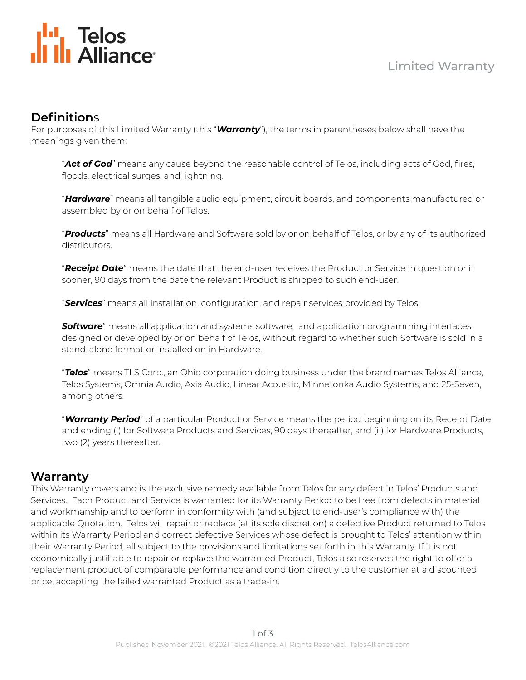

## **Definition**s

For purposes of this Limited Warranty (this "*Warranty*"), the terms in parentheses below shall have the meanings given them:

"*Act of God*" means any cause beyond the reasonable control of Telos, including acts of God, fires, floods, electrical surges, and lightning.

"*Hardware*" means all tangible audio equipment, circuit boards, and components manufactured or assembled by or on behalf of Telos.

"*Products*" means all Hardware and Software sold by or on behalf of Telos, or by any of its authorized distributors.

"*Receipt Date*" means the date that the end-user receives the Product or Service in question or if sooner, 90 days from the date the relevant Product is shipped to such end-user.

"*Services*" means all installation, configuration, and repair services provided by Telos.

*Software*" means all application and systems software, and application programming interfaces, designed or developed by or on behalf of Telos, without regard to whether such Software is sold in a stand-alone format or installed on in Hardware.

"*Telos*" means TLS Corp., an Ohio corporation doing business under the brand names Telos Alliance, Telos Systems, Omnia Audio, Axia Audio, Linear Acoustic, Minnetonka Audio Systems, and 25-Seven, among others.

"*Warranty Period*" of a particular Product or Service means the period beginning on its Receipt Date and ending (i) for Software Products and Services, 90 days thereafter, and (ii) for Hardware Products, two (2) years thereafter.

#### **Warranty**

This Warranty covers and is the exclusive remedy available from Telos for any defect in Telos' Products and Services. Each Product and Service is warranted for its Warranty Period to be free from defects in material and workmanship and to perform in conformity with (and subject to end-user's compliance with) the applicable Quotation. Telos will repair or replace (at its sole discretion) a defective Product returned to Telos within its Warranty Period and correct defective Services whose defect is brought to Telos' attention within their Warranty Period, all subject to the provisions and limitations set forth in this Warranty. If it is not economically justifiable to repair or replace the warranted Product, Telos also reserves the right to offer a replacement product of comparable performance and condition directly to the customer at a discounted price, accepting the failed warranted Product as a trade-in.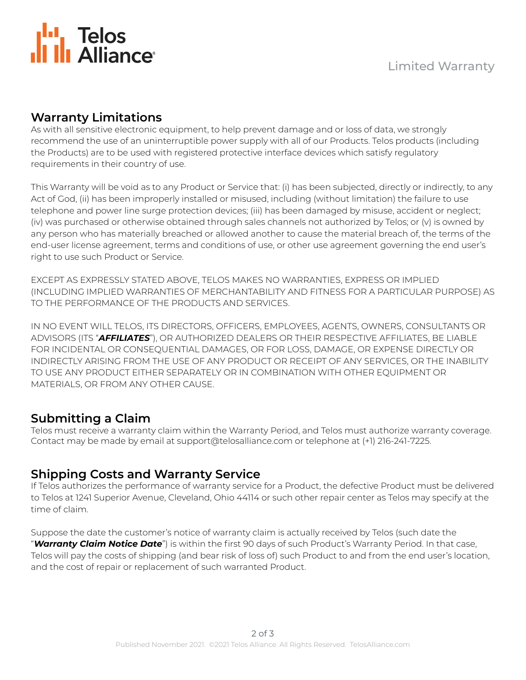

# **Warranty Limitations**

As with all sensitive electronic equipment, to help prevent damage and or loss of data, we strongly recommend the use of an uninterruptible power supply with all of our Products. Telos products (including the Products) are to be used with registered protective interface devices which satisfy regulatory requirements in their country of use.

This Warranty will be void as to any Product or Service that: (i) has been subjected, directly or indirectly, to any Act of God, (ii) has been improperly installed or misused, including (without limitation) the failure to use telephone and power line surge protection devices; (iii) has been damaged by misuse, accident or neglect; (iv) was purchased or otherwise obtained through sales channels not authorized by Telos; or (v) is owned by any person who has materially breached or allowed another to cause the material breach of, the terms of the end-user license agreement, terms and conditions of use, or other use agreement governing the end user's right to use such Product or Service.

EXCEPT AS EXPRESSLY STATED ABOVE, TELOS MAKES NO WARRANTIES, EXPRESS OR IMPLIED (INCLUDING IMPLIED WARRANTIES OF MERCHANTABILITY AND FITNESS FOR A PARTICULAR PURPOSE) AS TO THE PERFORMANCE OF THE PRODUCTS AND SERVICES.

IN NO EVENT WILL TELOS, ITS DIRECTORS, OFFICERS, EMPLOYEES, AGENTS, OWNERS, CONSULTANTS OR ADVISORS (ITS "*AFFILIATES*"), OR AUTHORIZED DEALERS OR THEIR RESPECTIVE AFFILIATES, BE LIABLE FOR INCIDENTAL OR CONSEQUENTIAL DAMAGES, OR FOR LOSS, DAMAGE, OR EXPENSE DIRECTLY OR INDIRECTLY ARISING FROM THE USE OF ANY PRODUCT OR RECEIPT OF ANY SERVICES, OR THE INABILITY TO USE ANY PRODUCT EITHER SEPARATELY OR IN COMBINATION WITH OTHER EQUIPMENT OR MATERIALS, OR FROM ANY OTHER CAUSE.

# **Submitting a Claim**

Telos must receive a warranty claim within the Warranty Period, and Telos must authorize warranty coverage. Contact may be made by email at support@telosalliance.com or telephone at (+1) 216-241-7225.

#### **Shipping Costs and Warranty Service**

If Telos authorizes the performance of warranty service for a Product, the defective Product must be delivered to Telos at 1241 Superior Avenue, Cleveland, Ohio 44114 or such other repair center as Telos may specify at the time of claim.

Suppose the date the customer's notice of warranty claim is actually received by Telos (such date the "*Warranty Claim Notice Date*") is within the first 90 days of such Product's Warranty Period. In that case, Telos will pay the costs of shipping (and bear risk of loss of) such Product to and from the end user's location, and the cost of repair or replacement of such warranted Product.